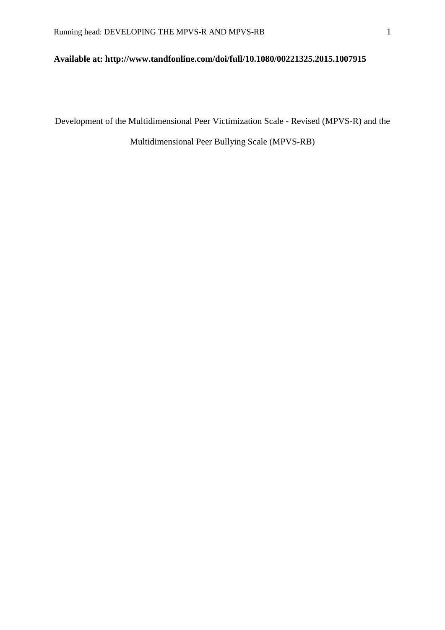## **Available at: http://www.tandfonline.com/doi/full/10.1080/00221325.2015.1007915**

Development of the Multidimensional Peer Victimization Scale - Revised (MPVS-R) and the

Multidimensional Peer Bullying Scale (MPVS-RB)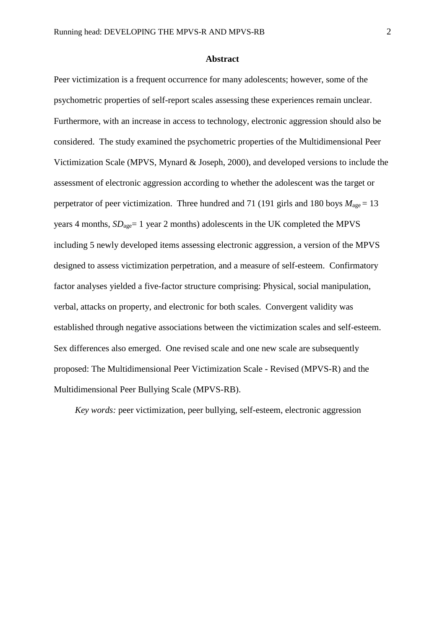### **Abstract**

Peer victimization is a frequent occurrence for many adolescents; however, some of the psychometric properties of self-report scales assessing these experiences remain unclear. Furthermore, with an increase in access to technology, electronic aggression should also be considered. The study examined the psychometric properties of the Multidimensional Peer Victimization Scale (MPVS, Mynard & Joseph, 2000), and developed versions to include the assessment of electronic aggression according to whether the adolescent was the target or perpetrator of peer victimization. Three hundred and 71 (191 girls and 180 boys  $M_{\text{age}} = 13$ years 4 months,  $SD<sub>ace</sub> = 1$  year 2 months) adolescents in the UK completed the MPVS including 5 newly developed items assessing electronic aggression, a version of the MPVS designed to assess victimization perpetration, and a measure of self-esteem. Confirmatory factor analyses yielded a five-factor structure comprising: Physical, social manipulation, verbal, attacks on property, and electronic for both scales. Convergent validity was established through negative associations between the victimization scales and self-esteem. Sex differences also emerged. One revised scale and one new scale are subsequently proposed: The Multidimensional Peer Victimization Scale - Revised (MPVS-R) and the Multidimensional Peer Bullying Scale (MPVS-RB).

*Key words:* peer victimization, peer bullying, self-esteem, electronic aggression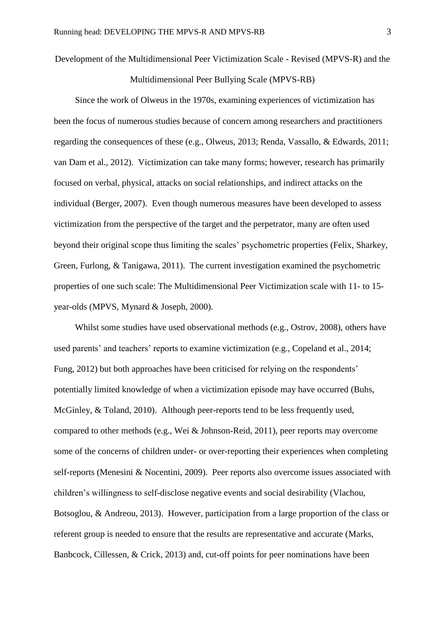Development of the Multidimensional Peer Victimization Scale - Revised (MPVS-R) and the

Multidimensional Peer Bullying Scale (MPVS-RB)

Since the work of Olweus in the 1970s, examining experiences of victimization has been the focus of numerous studies because of concern among researchers and practitioners regarding the consequences of these (e.g., Olweus, 2013; Renda, Vassallo, & Edwards, 2011; van Dam et al., 2012). Victimization can take many forms; however, research has primarily focused on verbal, physical, attacks on social relationships, and indirect attacks on the individual (Berger, 2007). Even though numerous measures have been developed to assess victimization from the perspective of the target and the perpetrator, many are often used beyond their original scope thus limiting the scales' psychometric properties (Felix, Sharkey, Green, Furlong, & Tanigawa, 2011). The current investigation examined the psychometric properties of one such scale: The Multidimensional Peer Victimization scale with 11- to 15 year-olds (MPVS, Mynard & Joseph, 2000).

Whilst some studies have used observational methods (e.g., Ostrov, 2008), others have used parents' and teachers' reports to examine victimization (e.g., Copeland et al., 2014; Fung, 2012) but both approaches have been criticised for relying on the respondents' potentially limited knowledge of when a victimization episode may have occurred (Buhs, McGinley, & Toland, 2010). Although peer-reports tend to be less frequently used, compared to other methods (e.g., Wei & Johnson-Reid, 2011), peer reports may overcome some of the concerns of children under- or over-reporting their experiences when completing self-reports (Menesini & Nocentini, 2009). Peer reports also overcome issues associated with children's willingness to self-disclose negative events and social desirability (Vlachou, Botsoglou, & Andreou, 2013). However, participation from a large proportion of the class or referent group is needed to ensure that the results are representative and accurate (Marks, Banbcock, Cillessen, & Crick, 2013) and, cut-off points for peer nominations have been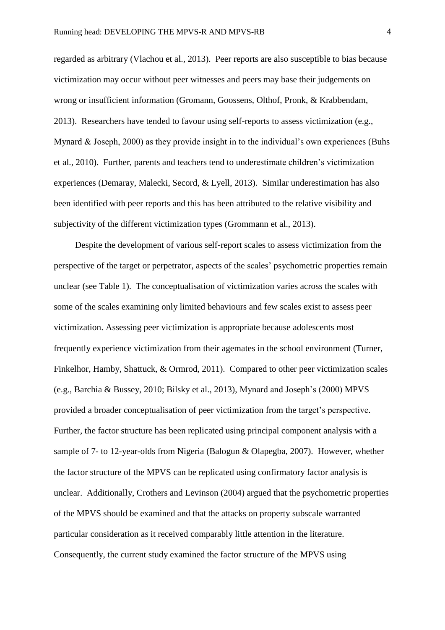regarded as arbitrary (Vlachou et al., 2013). Peer reports are also susceptible to bias because victimization may occur without peer witnesses and peers may base their judgements on wrong or insufficient information (Gromann, Goossens, Olthof, Pronk, & Krabbendam, 2013). Researchers have tended to favour using self-reports to assess victimization (e.g., Mynard & Joseph, 2000) as they provide insight in to the individual's own experiences (Buhs et al., 2010). Further, parents and teachers tend to underestimate children's victimization experiences (Demaray, Malecki, Secord, & Lyell, 2013). Similar underestimation has also been identified with peer reports and this has been attributed to the relative visibility and subjectivity of the different victimization types (Grommann et al., 2013).

Despite the development of various self-report scales to assess victimization from the perspective of the target or perpetrator, aspects of the scales' psychometric properties remain unclear (see Table 1). The conceptualisation of victimization varies across the scales with some of the scales examining only limited behaviours and few scales exist to assess peer victimization. Assessing peer victimization is appropriate because adolescents most frequently experience victimization from their agemates in the school environment (Turner, Finkelhor, Hamby, Shattuck, & Ormrod, 2011). Compared to other peer victimization scales (e.g., Barchia & Bussey, 2010; Bilsky et al., 2013), Mynard and Joseph's (2000) MPVS provided a broader conceptualisation of peer victimization from the target's perspective. Further, the factor structure has been replicated using principal component analysis with a sample of 7- to 12-year-olds from Nigeria (Balogun & Olapegba, 2007). However, whether the factor structure of the MPVS can be replicated using confirmatory factor analysis is unclear. Additionally, Crothers and Levinson (2004) argued that the psychometric properties of the MPVS should be examined and that the attacks on property subscale warranted particular consideration as it received comparably little attention in the literature. Consequently, the current study examined the factor structure of the MPVS using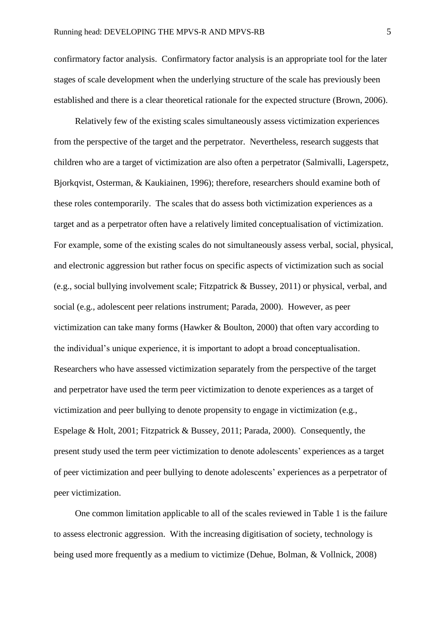confirmatory factor analysis. Confirmatory factor analysis is an appropriate tool for the later stages of scale development when the underlying structure of the scale has previously been established and there is a clear theoretical rationale for the expected structure (Brown, 2006).

Relatively few of the existing scales simultaneously assess victimization experiences from the perspective of the target and the perpetrator. Nevertheless, research suggests that children who are a target of victimization are also often a perpetrator (Salmivalli, Lagerspetz, Bjorkqvist, Osterman, & Kaukiainen, 1996); therefore, researchers should examine both of these roles contemporarily. The scales that do assess both victimization experiences as a target and as a perpetrator often have a relatively limited conceptualisation of victimization. For example, some of the existing scales do not simultaneously assess verbal, social, physical, and electronic aggression but rather focus on specific aspects of victimization such as social (e.g., social bullying involvement scale; Fitzpatrick & Bussey, 2011) or physical, verbal, and social (e.g., adolescent peer relations instrument; Parada, 2000). However, as peer victimization can take many forms (Hawker & Boulton, 2000) that often vary according to the individual's unique experience, it is important to adopt a broad conceptualisation. Researchers who have assessed victimization separately from the perspective of the target and perpetrator have used the term peer victimization to denote experiences as a target of victimization and peer bullying to denote propensity to engage in victimization (e.g., Espelage & Holt, 2001; Fitzpatrick & Bussey, 2011; Parada, 2000). Consequently, the present study used the term peer victimization to denote adolescents' experiences as a target of peer victimization and peer bullying to denote adolescents' experiences as a perpetrator of peer victimization.

One common limitation applicable to all of the scales reviewed in Table 1 is the failure to assess electronic aggression. With the increasing digitisation of society, technology is being used more frequently as a medium to victimize (Dehue, Bolman, & Vollnick, 2008)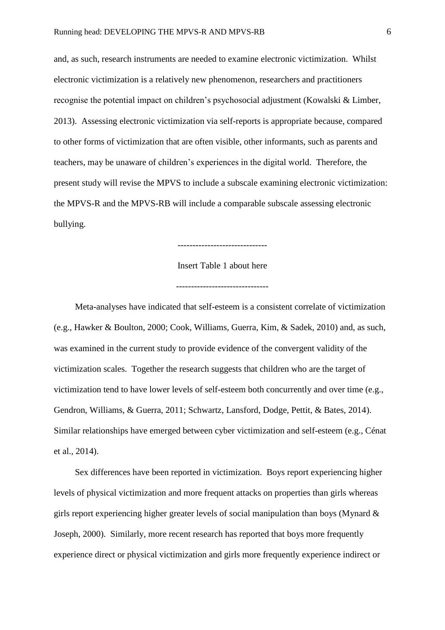and, as such, research instruments are needed to examine electronic victimization. Whilst electronic victimization is a relatively new phenomenon, researchers and practitioners recognise the potential impact on children's psychosocial adjustment (Kowalski & Limber, 2013). Assessing electronic victimization via self-reports is appropriate because, compared to other forms of victimization that are often visible, other informants, such as parents and teachers, may be unaware of children's experiences in the digital world. Therefore, the present study will revise the MPVS to include a subscale examining electronic victimization: the MPVS-R and the MPVS-RB will include a comparable subscale assessing electronic bullying.

Insert Table 1 about here

Meta-analyses have indicated that self-esteem is a consistent correlate of victimization (e.g., Hawker & Boulton, 2000; Cook, Williams, Guerra, Kim, & Sadek, 2010) and, as such, was examined in the current study to provide evidence of the convergent validity of the victimization scales. Together the research suggests that children who are the target of victimization tend to have lower levels of self-esteem both concurrently and over time (e.g., Gendron, Williams, & Guerra, 2011; Schwartz, Lansford, Dodge, Pettit, & Bates, 2014). Similar relationships have emerged between cyber victimization and self-esteem (e.g., Cénat et al., 2014).

Sex differences have been reported in victimization. Boys report experiencing higher levels of physical victimization and more frequent attacks on properties than girls whereas girls report experiencing higher greater levels of social manipulation than boys (Mynard & Joseph, 2000). Similarly, more recent research has reported that boys more frequently experience direct or physical victimization and girls more frequently experience indirect or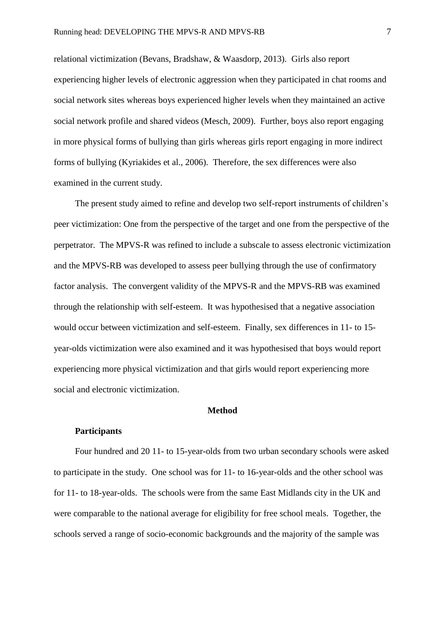relational victimization (Bevans, Bradshaw, & Waasdorp, 2013). Girls also report experiencing higher levels of electronic aggression when they participated in chat rooms and social network sites whereas boys experienced higher levels when they maintained an active social network profile and shared videos (Mesch, 2009). Further, boys also report engaging in more physical forms of bullying than girls whereas girls report engaging in more indirect forms of bullying (Kyriakides et al., 2006). Therefore, the sex differences were also examined in the current study.

The present study aimed to refine and develop two self-report instruments of children's peer victimization: One from the perspective of the target and one from the perspective of the perpetrator. The MPVS-R was refined to include a subscale to assess electronic victimization and the MPVS-RB was developed to assess peer bullying through the use of confirmatory factor analysis. The convergent validity of the MPVS-R and the MPVS-RB was examined through the relationship with self-esteem. It was hypothesised that a negative association would occur between victimization and self-esteem. Finally, sex differences in 11- to 15 year-olds victimization were also examined and it was hypothesised that boys would report experiencing more physical victimization and that girls would report experiencing more social and electronic victimization.

### **Method**

#### **Participants**

Four hundred and 20 11- to 15-year-olds from two urban secondary schools were asked to participate in the study. One school was for 11- to 16-year-olds and the other school was for 11- to 18-year-olds. The schools were from the same East Midlands city in the UK and were comparable to the national average for eligibility for free school meals. Together, the schools served a range of socio-economic backgrounds and the majority of the sample was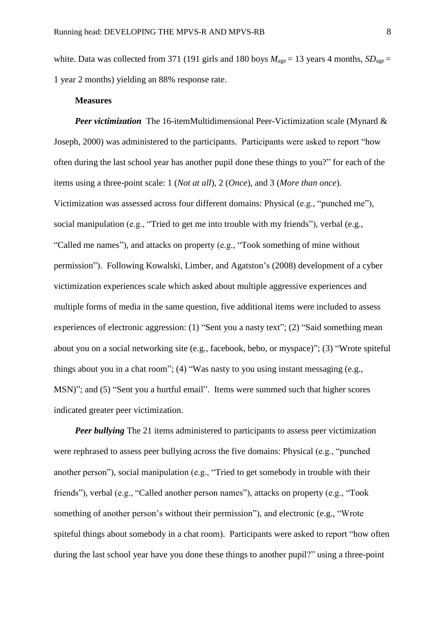white. Data was collected from 371 (191 girls and 180 boys  $M_{\text{age}} = 13$  years 4 months,  $SD_{\text{age}} =$ 1 year 2 months) yielding an 88% response rate.

### **Measures**

*Peer victimization* The 16-itemMultidimensional Peer-Victimization scale (Mynard & Joseph, 2000) was administered to the participants. Participants were asked to report "how often during the last school year has another pupil done these things to you?" for each of the items using a three-point scale: 1 (*Not at all*), 2 (*Once*), and 3 (*More than once*). Victimization was assessed across four different domains: Physical (e.g., "punched me"), social manipulation (e.g., "Tried to get me into trouble with my friends"), verbal (e.g., "Called me names"), and attacks on property (e.g., "Took something of mine without permission"). Following Kowalski, Limber, and Agatston's (2008) development of a cyber victimization experiences scale which asked about multiple aggressive experiences and multiple forms of media in the same question, five additional items were included to assess experiences of electronic aggression: (1) "Sent you a nasty text"; (2) "Said something mean about you on a social networking site (e.g., facebook, bebo, or myspace)"; (3) "Wrote spiteful things about you in a chat room"; (4) "Was nasty to you using instant messaging (e.g., MSN)"; and (5) "Sent you a hurtful email". Items were summed such that higher scores indicated greater peer victimization.

*Peer bullying* The 21 items administered to participants to assess peer victimization were rephrased to assess peer bullying across the five domains: Physical (e.g., "punched another person"), social manipulation (e.g., "Tried to get somebody in trouble with their friends"), verbal (e.g., "Called another person names"), attacks on property (e.g., "Took something of another person's without their permission"), and electronic (e.g., "Wrote spiteful things about somebody in a chat room). Participants were asked to report "how often during the last school year have you done these things to another pupil?" using a three-point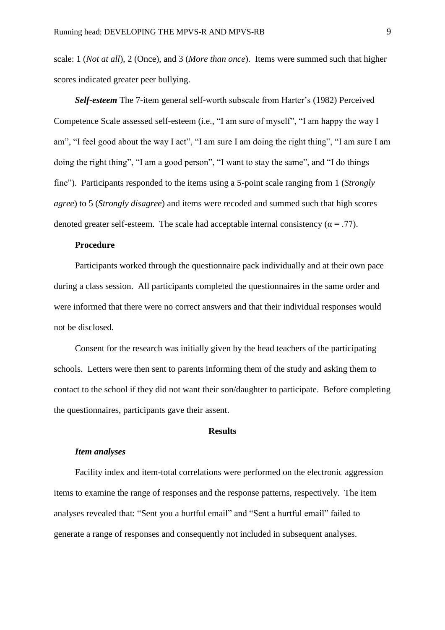scale: 1 (*Not at all*), 2 (Once), and 3 (*More than once*). Items were summed such that higher scores indicated greater peer bullying.

*Self-esteem* The 7-item general self-worth subscale from Harter's (1982) Perceived Competence Scale assessed self-esteem (i.e., "I am sure of myself", "I am happy the way I am", "I feel good about the way I act", "I am sure I am doing the right thing", "I am sure I am doing the right thing", "I am a good person", "I want to stay the same", and "I do things fine"). Participants responded to the items using a 5-point scale ranging from 1 (*Strongly agree*) to 5 (*Strongly disagree*) and items were recoded and summed such that high scores denoted greater self-esteem. The scale had acceptable internal consistency ( $\alpha = .77$ ).

### **Procedure**

Participants worked through the questionnaire pack individually and at their own pace during a class session. All participants completed the questionnaires in the same order and were informed that there were no correct answers and that their individual responses would not be disclosed.

Consent for the research was initially given by the head teachers of the participating schools. Letters were then sent to parents informing them of the study and asking them to contact to the school if they did not want their son/daughter to participate. Before completing the questionnaires, participants gave their assent.

### **Results**

#### *Item analyses*

Facility index and item-total correlations were performed on the electronic aggression items to examine the range of responses and the response patterns, respectively. The item analyses revealed that: "Sent you a hurtful email" and "Sent a hurtful email" failed to generate a range of responses and consequently not included in subsequent analyses.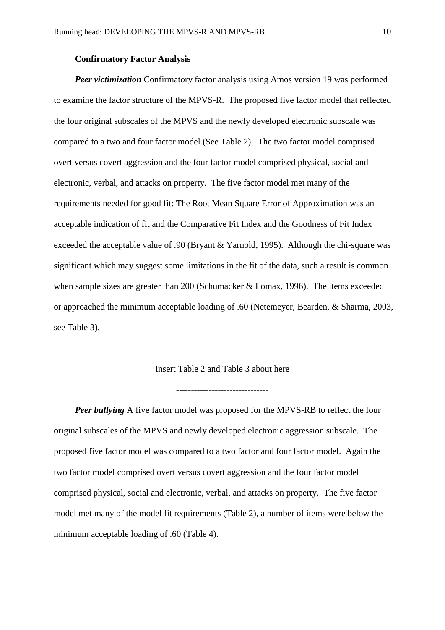### **Confirmatory Factor Analysis**

*Peer victimization* Confirmatory factor analysis using Amos version 19 was performed to examine the factor structure of the MPVS-R. The proposed five factor model that reflected the four original subscales of the MPVS and the newly developed electronic subscale was compared to a two and four factor model (See Table 2). The two factor model comprised overt versus covert aggression and the four factor model comprised physical, social and electronic, verbal, and attacks on property. The five factor model met many of the requirements needed for good fit: The Root Mean Square Error of Approximation was an acceptable indication of fit and the Comparative Fit Index and the Goodness of Fit Index exceeded the acceptable value of .90 (Bryant & Yarnold, 1995). Although the chi-square was significant which may suggest some limitations in the fit of the data, such a result is common when sample sizes are greater than 200 (Schumacker & Lomax, 1996). The items exceeded or approached the minimum acceptable loading of .60 (Netemeyer, Bearden, & Sharma, 2003, see Table 3).

Insert Table 2 and Table 3 about here

------------------------------

-------------------------------

*Peer bullying* A five factor model was proposed for the MPVS-RB to reflect the four original subscales of the MPVS and newly developed electronic aggression subscale. The proposed five factor model was compared to a two factor and four factor model. Again the two factor model comprised overt versus covert aggression and the four factor model comprised physical, social and electronic, verbal, and attacks on property. The five factor model met many of the model fit requirements (Table 2), a number of items were below the minimum acceptable loading of .60 (Table 4).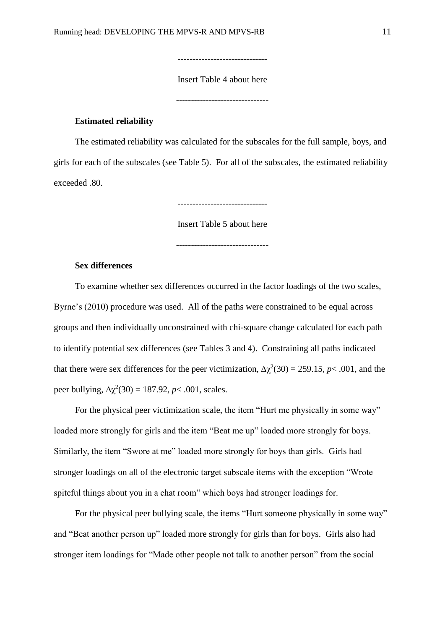Insert Table 4 about here

------------------------------

-------------------------------

### **Estimated reliability**

The estimated reliability was calculated for the subscales for the full sample, boys, and girls for each of the subscales (see Table 5). For all of the subscales, the estimated reliability exceeded .80.

------------------------------

Insert Table 5 about here

### **Sex differences**

To examine whether sex differences occurred in the factor loadings of the two scales, Byrne's (2010) procedure was used. All of the paths were constrained to be equal across groups and then individually unconstrained with chi-square change calculated for each path to identify potential sex differences (see Tables 3 and 4). Constraining all paths indicated that there were sex differences for the peer victimization,  $\Delta \chi^2(30) = 259.15$ , *p*< .001, and the peer bullying,  $Δχ²(30) = 187.92$ ,  $p < .001$ , scales.

For the physical peer victimization scale, the item "Hurt me physically in some way" loaded more strongly for girls and the item "Beat me up" loaded more strongly for boys. Similarly, the item "Swore at me" loaded more strongly for boys than girls. Girls had stronger loadings on all of the electronic target subscale items with the exception "Wrote spiteful things about you in a chat room" which boys had stronger loadings for.

For the physical peer bullying scale, the items "Hurt someone physically in some way" and "Beat another person up" loaded more strongly for girls than for boys. Girls also had stronger item loadings for "Made other people not talk to another person" from the social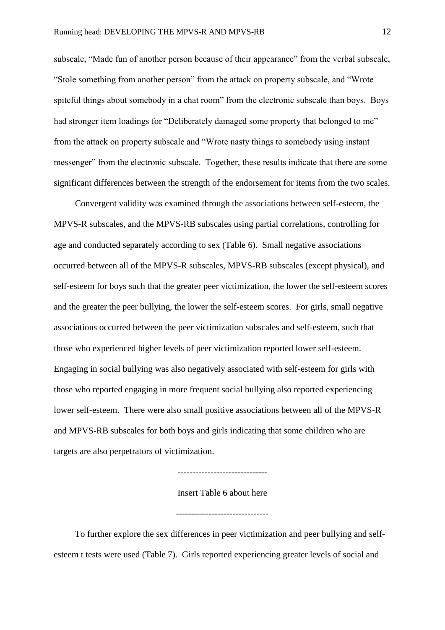subscale, "Made fun of another person because of their appearance" from the verbal subscale, "Stole something from another person" from the attack on property subscale, and "Wrote spiteful things about somebody in a chat room" from the electronic subscale than boys. Boys had stronger item loadings for "Deliberately damaged some property that belonged to me" from the attack on property subscale and "Wrote nasty things to somebody using instant messenger" from the electronic subscale. Together, these results indicate that there are some significant differences between the strength of the endorsement for items from the two scales.

Convergent validity was examined through the associations between self-esteem, the MPVS-R subscales, and the MPVS-RB subscales using partial correlations, controlling for age and conducted separately according to sex (Table 6). Small negative associations occurred between all of the MPVS-R subscales, MPVS-RB subscales (except physical), and self-esteem for boys such that the greater peer victimization, the lower the self-esteem scores and the greater the peer bullying, the lower the self-esteem scores. For girls, small negative associations occurred between the peer victimization subscales and self-esteem, such that those who experienced higher levels of peer victimization reported lower self-esteem. Engaging in social bullying was also negatively associated with self-esteem for girls with those who reported engaging in more frequent social bullying also reported experiencing lower self-esteem. There were also small positive associations between all of the MPVS-R and MPVS-RB subscales for both boys and girls indicating that some children who are targets are also perpetrators of victimization.

------------------------------

Insert Table 6 about here

-------------------------------

To further explore the sex differences in peer victimization and peer bullying and selfesteem t tests were used (Table 7). Girls reported experiencing greater levels of social and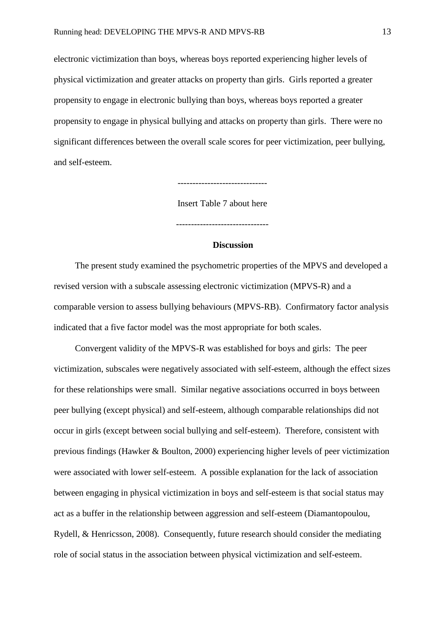electronic victimization than boys, whereas boys reported experiencing higher levels of physical victimization and greater attacks on property than girls. Girls reported a greater propensity to engage in electronic bullying than boys, whereas boys reported a greater propensity to engage in physical bullying and attacks on property than girls. There were no significant differences between the overall scale scores for peer victimization, peer bullying, and self-esteem.

------------------------------

Insert Table 7 about here

-------------------------------

#### **Discussion**

The present study examined the psychometric properties of the MPVS and developed a revised version with a subscale assessing electronic victimization (MPVS-R) and a comparable version to assess bullying behaviours (MPVS-RB). Confirmatory factor analysis indicated that a five factor model was the most appropriate for both scales.

Convergent validity of the MPVS-R was established for boys and girls: The peer victimization, subscales were negatively associated with self-esteem, although the effect sizes for these relationships were small. Similar negative associations occurred in boys between peer bullying (except physical) and self-esteem, although comparable relationships did not occur in girls (except between social bullying and self-esteem). Therefore, consistent with previous findings (Hawker & Boulton, 2000) experiencing higher levels of peer victimization were associated with lower self-esteem. A possible explanation for the lack of association between engaging in physical victimization in boys and self-esteem is that social status may act as a buffer in the relationship between aggression and self-esteem (Diamantopoulou, Rydell, & Henricsson, 2008). Consequently, future research should consider the mediating role of social status in the association between physical victimization and self-esteem.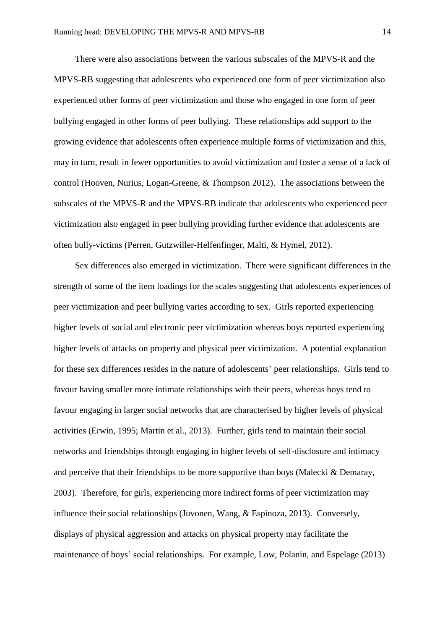There were also associations between the various subscales of the MPVS-R and the MPVS-RB suggesting that adolescents who experienced one form of peer victimization also experienced other forms of peer victimization and those who engaged in one form of peer bullying engaged in other forms of peer bullying. These relationships add support to the growing evidence that adolescents often experience multiple forms of victimization and this, may in turn, result in fewer opportunities to avoid victimization and foster a sense of a lack of control (Hooven, Nurius, Logan-Greene, & Thompson 2012). The associations between the subscales of the MPVS-R and the MPVS-RB indicate that adolescents who experienced peer victimization also engaged in peer bullying providing further evidence that adolescents are often bully-victims (Perren, Gutzwiller-Helfenfinger, Malti, & Hymel, 2012).

Sex differences also emerged in victimization. There were significant differences in the strength of some of the item loadings for the scales suggesting that adolescents experiences of peer victimization and peer bullying varies according to sex. Girls reported experiencing higher levels of social and electronic peer victimization whereas boys reported experiencing higher levels of attacks on property and physical peer victimization. A potential explanation for these sex differences resides in the nature of adolescents' peer relationships. Girls tend to favour having smaller more intimate relationships with their peers, whereas boys tend to favour engaging in larger social networks that are characterised by higher levels of physical activities (Erwin, 1995; Martin et al., 2013). Further, girls tend to maintain their social networks and friendships through engaging in higher levels of self-disclosure and intimacy and perceive that their friendships to be more supportive than boys (Malecki & Demaray, 2003). Therefore, for girls, experiencing more indirect forms of peer victimization may influence their social relationships (Juvonen, Wang, & Espinoza, 2013). Conversely, displays of physical aggression and attacks on physical property may facilitate the maintenance of boys' social relationships. For example, Low, Polanin, and Espelage (2013)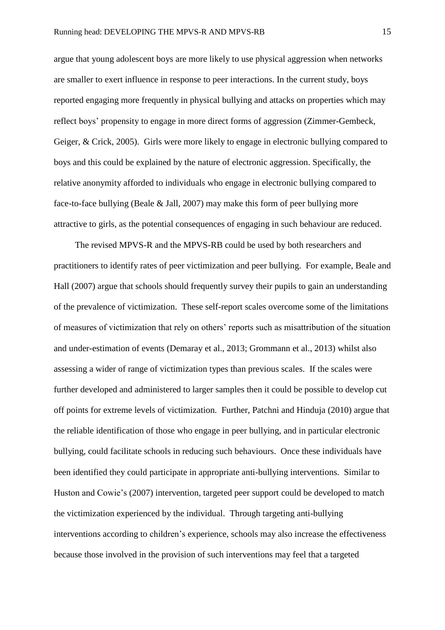argue that young adolescent boys are more likely to use physical aggression when networks are smaller to exert influence in response to peer interactions. In the current study, boys reported engaging more frequently in physical bullying and attacks on properties which may reflect boys' propensity to engage in more direct forms of aggression (Zimmer-Gembeck, Geiger, & Crick, 2005). Girls were more likely to engage in electronic bullying compared to boys and this could be explained by the nature of electronic aggression. Specifically, the relative anonymity afforded to individuals who engage in electronic bullying compared to face-to-face bullying (Beale & Jall, 2007) may make this form of peer bullying more attractive to girls, as the potential consequences of engaging in such behaviour are reduced.

The revised MPVS-R and the MPVS-RB could be used by both researchers and practitioners to identify rates of peer victimization and peer bullying. For example, Beale and Hall (2007) argue that schools should frequently survey their pupils to gain an understanding of the prevalence of victimization. These self-report scales overcome some of the limitations of measures of victimization that rely on others' reports such as misattribution of the situation and under-estimation of events (Demaray et al., 2013; Grommann et al., 2013) whilst also assessing a wider of range of victimization types than previous scales. If the scales were further developed and administered to larger samples then it could be possible to develop cut off points for extreme levels of victimization. Further, Patchni and Hinduja (2010) argue that the reliable identification of those who engage in peer bullying, and in particular electronic bullying, could facilitate schools in reducing such behaviours. Once these individuals have been identified they could participate in appropriate anti-bullying interventions. Similar to Huston and Cowie's (2007) intervention, targeted peer support could be developed to match the victimization experienced by the individual. Through targeting anti-bullying interventions according to children's experience, schools may also increase the effectiveness because those involved in the provision of such interventions may feel that a targeted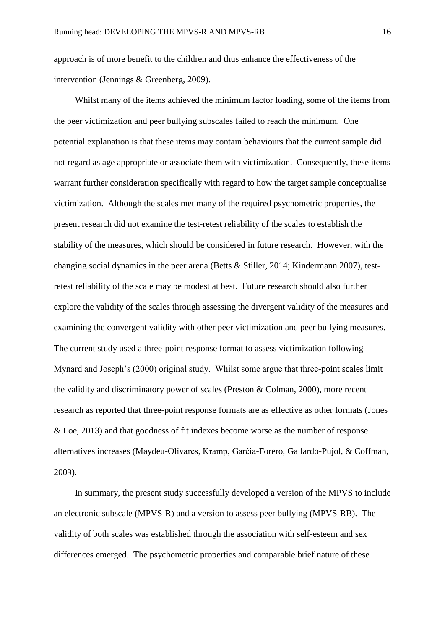approach is of more benefit to the children and thus enhance the effectiveness of the intervention (Jennings & Greenberg, 2009).

Whilst many of the items achieved the minimum factor loading, some of the items from the peer victimization and peer bullying subscales failed to reach the minimum. One potential explanation is that these items may contain behaviours that the current sample did not regard as age appropriate or associate them with victimization. Consequently, these items warrant further consideration specifically with regard to how the target sample conceptualise victimization. Although the scales met many of the required psychometric properties, the present research did not examine the test-retest reliability of the scales to establish the stability of the measures, which should be considered in future research. However, with the changing social dynamics in the peer arena (Betts & Stiller, 2014; Kindermann 2007), testretest reliability of the scale may be modest at best. Future research should also further explore the validity of the scales through assessing the divergent validity of the measures and examining the convergent validity with other peer victimization and peer bullying measures. The current study used a three-point response format to assess victimization following Mynard and Joseph's (2000) original study. Whilst some argue that three-point scales limit the validity and discriminatory power of scales (Preston & Colman, 2000), more recent research as reported that three-point response formats are as effective as other formats (Jones & Loe, 2013) and that goodness of fit indexes become worse as the number of response alternatives increases (Maydeu-Olivares, Kramp, Garćia-Forero, Gallardo-Pujol, & Coffman, 2009).

In summary, the present study successfully developed a version of the MPVS to include an electronic subscale (MPVS-R) and a version to assess peer bullying (MPVS-RB). The validity of both scales was established through the association with self-esteem and sex differences emerged. The psychometric properties and comparable brief nature of these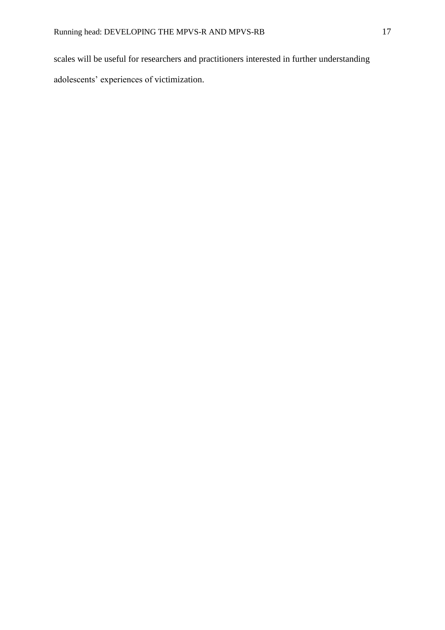scales will be useful for researchers and practitioners interested in further understanding adolescents' experiences of victimization.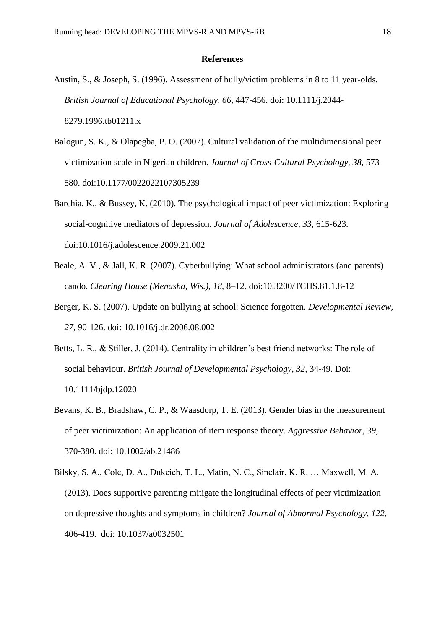### **References**

- Austin, S., & Joseph, S. (1996). Assessment of bully/victim problems in 8 to 11 year-olds. *British Journal of Educational Psychology, 66,* 447-456. doi: 10.1111/j.2044- 8279.1996.tb01211.x
- Balogun, S. K., & Olapegba, P. O. (2007). Cultural validation of the multidimensional peer victimization scale in Nigerian children. *Journal of Cross-Cultural Psychology, 38,* 573- 580. doi:10.1177/0022022107305239
- Barchia, K., & Bussey, K. (2010). The psychological impact of peer victimization: Exploring social-cognitive mediators of depression. *Journal of Adolescence, 33,* 615-623. doi:10.1016/j.adolescence.2009.21.002
- Beale, A. V., & Jall, K. R. (2007). Cyberbullying: What school administrators (and parents) cando. *Clearing House (Menasha, Wis.)*, *18*, 8–12. doi:10.3200/TCHS.81.1.8-12
- Berger, K. S. (2007). Update on bullying at school: Science forgotten. *Developmental Review, 27,* 90-126. doi: 10.1016/j.dr.2006.08.002
- Betts, L. R., & Stiller, J. (2014). Centrality in children's best friend networks: The role of social behaviour. *British Journal of Developmental Psychology, 32,* 34-49. Doi: 10.1111/bjdp.12020
- Bevans, K. B., Bradshaw, C. P., & Waasdorp, T. E. (2013). Gender bias in the measurement of peer victimization: An application of item response theory. *Aggressive Behavior, 39,*  370-380. doi: 10.1002/ab.21486
- Bilsky, S. A., Cole, D. A., Dukeich, T. L., Matin, N. C., Sinclair, K. R. … Maxwell, M. A. (2013). Does supportive parenting mitigate the longitudinal effects of peer victimization on depressive thoughts and symptoms in children? *Journal of Abnormal Psychology, 122,*  406-419. doi: 10.1037/a0032501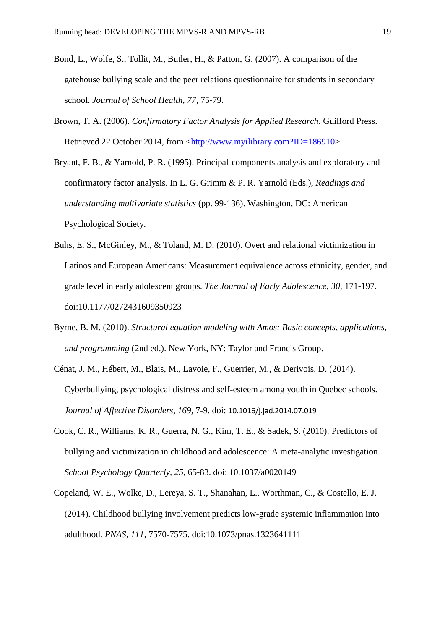- Bond, L., Wolfe, S., Tollit, M., Butler, H., & Patton, G. (2007). A comparison of the gatehouse bullying scale and the peer relations questionnaire for students in secondary school. *Journal of School Health, 77,* 75-79.
- Brown, T. A. (2006). *Confirmatory Factor Analysis for Applied Research*. Guilford Press. Retrieved 22 October 2014, from [<http://www.myilibrary.com?ID=186910>](http://www.myilibrary.com/?ID=186910)
- Bryant, F. B., & Yarnold, P. R. (1995). Principal-components analysis and exploratory and confirmatory factor analysis. In L. G. Grimm & P. R. Yarnold (Eds.), *Readings and understanding multivariate statistics* (pp. 99-136). Washington, DC: American Psychological Society.
- Buhs, E. S., McGinley, M., & Toland, M. D. (2010). Overt and relational victimization in Latinos and European Americans: Measurement equivalence across ethnicity, gender, and grade level in early adolescent groups. *The Journal of Early Adolescence, 30,* 171-197. doi:10.1177/0272431609350923
- Byrne, B. M. (2010). *Structural equation modeling with Amos: Basic concepts, applications, and programming* (2nd ed.). New York, NY: Taylor and Francis Group.
- Cénat, J. M., Hébert, M., Blais, M., Lavoie, F., Guerrier, M., & Derivois, D. (2014). Cyberbullying, psychological distress and self-esteem among youth in Quebec schools. *Journal of Affective Disorders, 169,* 7-9. doi: 10.1016/j.jad.2014.07.019
- Cook, C. R., Williams, K. R., Guerra, N. G., Kim, T. E., & Sadek, S. (2010). Predictors of bullying and victimization in childhood and adolescence: A meta-analytic investigation. *School Psychology Quarterly, 25,* 65-83. doi: 10.1037/a0020149
- Copeland, W. E., Wolke, D., Lereya, S. T., Shanahan, L., Worthman, C., & Costello, E. J. (2014). Childhood bullying involvement predicts low-grade systemic inflammation into adulthood. *PNAS, 111,* 7570-7575. doi:10.1073/pnas.1323641111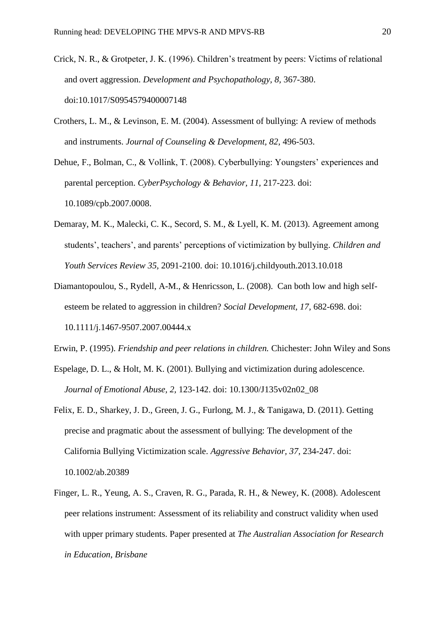- Crick, N. R., & Grotpeter, J. K. (1996). Children's treatment by peers: Victims of relational and overt aggression. *Development and Psychopathology, 8,* 367-380. doi:10.1017/S0954579400007148
- Crothers, L. M., & Levinson, E. M. (2004). Assessment of bullying: A review of methods and instruments. *Journal of Counseling & Development, 82,* 496-503.
- Dehue, F., Bolman, C., & Vollink, T. (2008). Cyberbullying: Youngsters' experiences and parental perception. *CyberPsychology & Behavior, 11,* 217-223. doi: 10.1089/cpb.2007.0008.
- Demaray, M. K., Malecki, C. K., Secord, S. M., & Lyell, K. M. (2013). Agreement among students', teachers', and parents' perceptions of victimization by bullying. *Children and Youth Services Review 35,* 2091-2100. doi: 10.1016/j.childyouth.2013.10.018
- Diamantopoulou, S., Rydell, A-M., & Henricsson, L. (2008). Can both low and high selfesteem be related to aggression in children? *Social Development, 17,* 682-698. doi: 10.1111/j.1467-9507.2007.00444.x
- Erwin, P. (1995). *Friendship and peer relations in children.* Chichester: John Wiley and Sons
- Espelage, D. L., & Holt, M. K. (2001). Bullying and victimization during adolescence. *Journal of Emotional Abuse, 2,* 123-142. doi: 10.1300/J135v02n02\_08
- Felix, E. D., Sharkey, J. D., Green, J. G., Furlong, M. J., & Tanigawa, D. (2011). Getting precise and pragmatic about the assessment of bullying: The development of the California Bullying Victimization scale. *Aggressive Behavior, 37,* 234-247. doi: 10.1002/ab.20389
- Finger, L. R., Yeung, A. S., Craven, R. G., Parada, R. H., & Newey, K. (2008). Adolescent peer relations instrument: Assessment of its reliability and construct validity when used with upper primary students. Paper presented at *The Australian Association for Research in Education, Brisbane*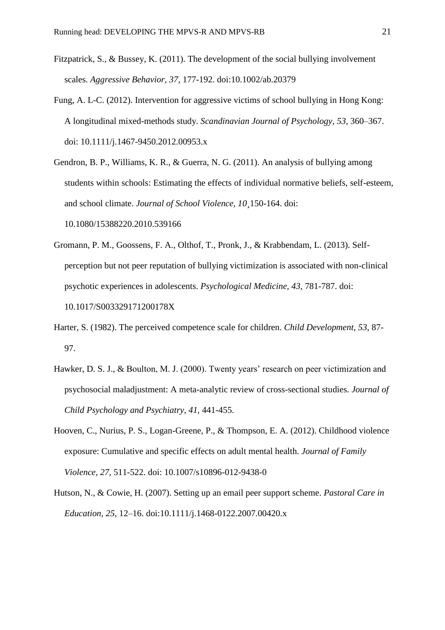- Fitzpatrick, S., & Bussey, K. (2011). The development of the social bullying involvement scales. *Aggressive Behavior, 37,* 177-192. doi:10.1002/ab.20379
- Fung, A. L-C. (2012). Intervention for aggressive victims of school bullying in Hong Kong: A longitudinal mixed-methods study. *Scandinavian Journal of Psychology, 53,* 360–367. doi: 10.1111/j.1467-9450.2012.00953.x
- Gendron, B. P., Williams, K. R., & Guerra, N. G. (2011). An analysis of bullying among students within schools: Estimating the effects of individual normative beliefs, self-esteem, and school climate. *Journal of School Violence, 10¸*150-164. doi: 10.1080/15388220.2010.539166
- Gromann, P. M., Goossens, F. A., Olthof, T., Pronk, J., & Krabbendam, L. (2013). Selfperception but not peer reputation of bullying victimization is associated with non-clinical psychotic experiences in adolescents. *Psychological Medicine, 43,* 781-787. doi: 10.1017/S003329171200178X
- Harter, S. (1982). The perceived competence scale for children. *Child Development, 53,* 87- 97.
- Hawker, D. S. J., & Boulton, M. J. (2000). Twenty years' research on peer victimization and psychosocial maladjustment: A meta-analytic review of cross-sectional studies. *Journal of Child Psychology and Psychiatry, 41,* 441-455.
- Hooven, C., Nurius, P. S., Logan-Greene, P., & Thompson, E. A. (2012). Childhood violence exposure: Cumulative and specific effects on adult mental health. *Journal of Family Violence, 27,* 511-522. doi: 10.1007/s10896-012-9438-0
- Hutson, N., & Cowie, H. (2007). Setting up an email peer support scheme. *Pastoral Care in Education*, *25*, 12–16. doi:10.1111/j.1468-0122.2007.00420.x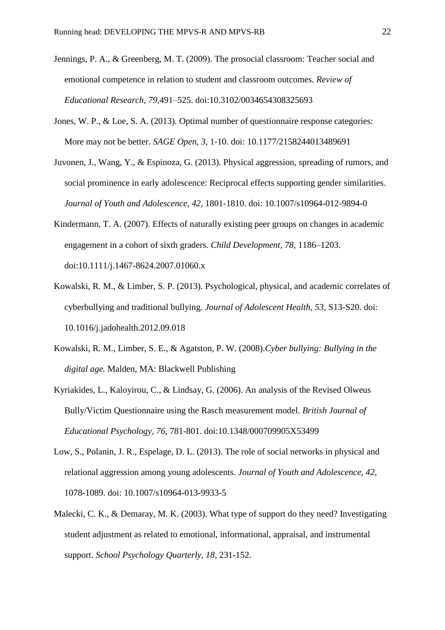- Jennings, P. A., & Greenberg, M. T. (2009). The prosocial classroom: Teacher social and emotional competence in relation to student and classroom outcomes. *Review of Educational Research, 79*,491–525. doi:10.3102/0034654308325693
- Jones, W. P., & Loe, S. A. (2013). Optimal number of questionnaire response categories: More may not be better. *SAGE Open, 3,* 1-10. doi: 10.1177/2158244013489691
- Juvonen, J., Wang, Y., & Espinoza, G. (2013). Physical aggression, spreading of rumors, and social prominence in early adolescence: Reciprocal effects supporting gender similarities. *Journal of Youth and Adolescence, 42,* 1801-1810. doi: 10.1007/s10964-012-9894-0
- Kindermann, T. A. (2007). Effects of naturally existing peer groups on changes in academic engagement in a cohort of sixth graders. *Child Development, 78,* 1186–1203. doi:10.1111/j.1467-8624.2007.01060.x
- Kowalski, R. M., & Limber, S. P. (2013). Psychological, physical, and academic correlates of cyberbullying and traditional bullying. *Journal of Adolescent Health, 53,* S13-S20. doi: 10.1016/j.jadohealth.2012.09.018
- Kowalski, R. M., Limber, S. E., & Agatston, P. W. (2008).*Cyber bullying: Bullying in the digital age.* Malden, MA: Blackwell Publishing
- Kyriakides, L., Kaloyirou, C., & Lindsay, G. (2006). An analysis of the Revised Olweus Bully/Victim Questionnaire using the Rasch measurement model. *British Journal of Educational Psychology, 76,* 781-801. doi:10.1348/000709905X53499
- Low, S., Polanin, J. R., Espelage, D. L. (2013). The role of social networks in physical and relational aggression among young adolescents. *Journal of Youth and Adolescence, 42,*  1078-1089. doi: 10.1007/s10964-013-9933-5
- Malecki, C. K., & Demaray, M. K. (2003). What type of support do they need? Investigating student adjustment as related to emotional, informational, appraisal, and instrumental support. *School Psychology Quarterly, 18,* 231-152.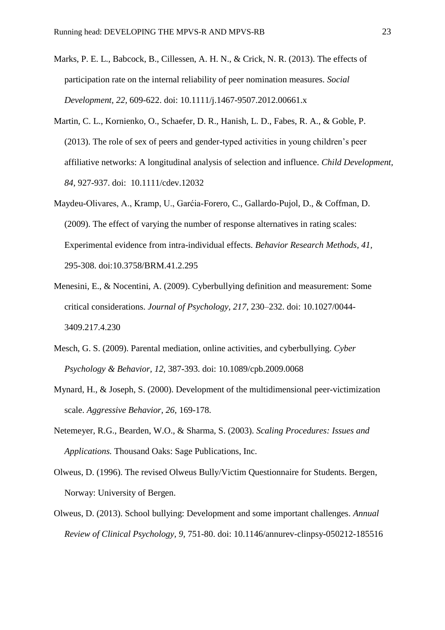- Marks, P. E. L., Babcock, B., Cillessen, A. H. N., & Crick, N. R. (2013). The effects of participation rate on the internal reliability of peer nomination measures. *Social Development, 22,* 609-622. doi: 10.1111/j.1467-9507.2012.00661.x
- Martin, C. L., Kornienko, O., Schaefer, D. R., Hanish, L. D., Fabes, R. A., & Goble, P. (2013). The role of sex of peers and gender-typed activities in young children's peer affiliative networks: A longitudinal analysis of selection and influence. *Child Development, 84,* 927-937. doi: 10.1111/cdev.12032
- Maydeu-Olivares, A., Kramp, U., Garćia-Forero, C., Gallardo-Pujol, D., & Coffman, D. (2009). The effect of varying the number of response alternatives in rating scales: Experimental evidence from intra-individual effects. *Behavior Research Methods, 41,*  295-308. doi:10.3758/BRM.41.2.295
- Menesini, E., & Nocentini, A. (2009). Cyberbullying definition and measurement: Some critical considerations. *Journal of Psychology, 217,* 230–232. doi: 10.1027/0044- 3409.217.4.230
- Mesch, G. S. (2009). Parental mediation, online activities, and cyberbullying. *Cyber Psychology & Behavior, 12,* 387-393. doi: 10.1089/cpb.2009.0068
- Mynard, H., & Joseph, S. (2000). Development of the multidimensional peer-victimization scale. *Aggressive Behavior, 26,* 169-178.
- Netemeyer, R.G., Bearden, W.O., & Sharma, S. (2003). *Scaling Procedures: Issues and Applications.* Thousand Oaks: Sage Publications, Inc.
- Olweus, D. (1996). The revised Olweus Bully/Victim Questionnaire for Students. Bergen, Norway: University of Bergen.
- Olweus, D. (2013). School bullying: Development and some important challenges. *Annual Review of Clinical Psychology, 9,* 751-80. doi: 10.1146/annurev-clinpsy-050212-185516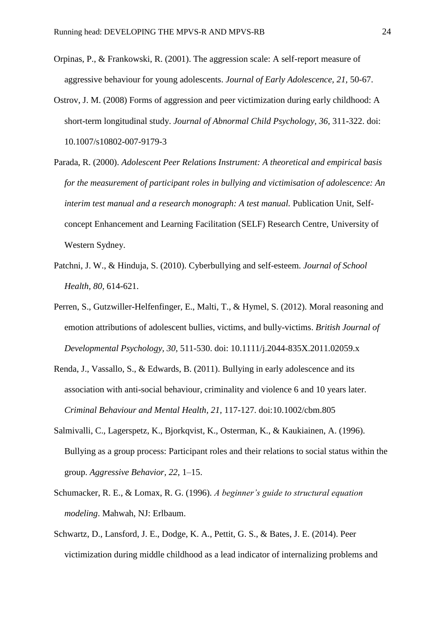- Orpinas, P., & Frankowski, R. (2001). The aggression scale: A self-report measure of aggressive behaviour for young adolescents. *Journal of Early Adolescence, 21,* 50-67.
- Ostrov, J. M. (2008) Forms of aggression and peer victimization during early childhood: A short-term longitudinal study. *Journal of Abnormal Child Psychology, 36,* 311-322. doi: 10.1007/s10802-007-9179-3
- Parada, R. (2000). *Adolescent Peer Relations Instrument: A theoretical and empirical basis for the measurement of participant roles in bullying and victimisation of adolescence: An interim test manual and a research monograph: A test manual.* Publication Unit, Selfconcept Enhancement and Learning Facilitation (SELF) Research Centre, University of Western Sydney.
- Patchni, J. W., & Hinduja, S. (2010). Cyberbullying and self-esteem. *Journal of School Health, 80,* 614-621.
- Perren, S., Gutzwiller-Helfenfinger, E., Malti, T., & Hymel, S. (2012). Moral reasoning and emotion attributions of adolescent bullies, victims, and bully-victims. *British Journal of Developmental Psychology, 30,* 511-530. doi: 10.1111/j.2044-835X.2011.02059.x
- Renda, J., Vassallo, S., & Edwards, B. (2011). Bullying in early adolescence and its association with anti-social behaviour, criminality and violence 6 and 10 years later. *Criminal Behaviour and Mental Health, 21,* 117-127. doi:10.1002/cbm.805
- Salmivalli, C., Lagerspetz, K., Bjorkqvist, K., Osterman, K., & Kaukiainen, A. (1996). Bullying as a group process: Participant roles and their relations to social status within the group. *Aggressive Behavior, 22,* 1–15.
- Schumacker, R. E., & Lomax, R. G. (1996). *A beginner's guide to structural equation modeling*. Mahwah, NJ: Erlbaum.
- Schwartz, D., Lansford, J. E., Dodge, K. A., Pettit, G. S., & Bates, J. E. (2014). Peer victimization during middle childhood as a lead indicator of internalizing problems and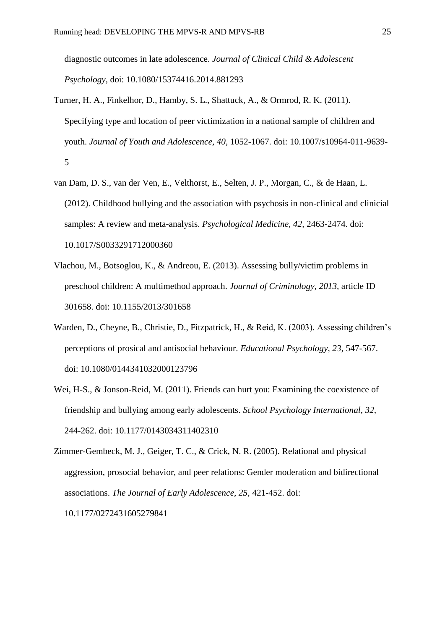diagnostic outcomes in late adolescence. *Journal of Clinical Child & Adolescent Psychology,* doi: 10.1080/15374416.2014.881293

- Turner, H. A., Finkelhor, D., Hamby, S. L., Shattuck, A., & Ormrod, R. K. (2011). Specifying type and location of peer victimization in a national sample of children and youth. *Journal of Youth and Adolescence, 40,* 1052-1067. doi: 10.1007/s10964-011-9639- 5
- van Dam, D. S., van der Ven, E., Velthorst, E., Selten, J. P., Morgan, C., & de Haan, L. (2012). Childhood bullying and the association with psychosis in non-clinical and clinicial samples: A review and meta-analysis. *Psychological Medicine, 42,* 2463-2474. doi: 10.1017/S0033291712000360
- Vlachou, M., Botsoglou, K., & Andreou, E. (2013). Assessing bully/victim problems in preschool children: A multimethod approach. *Journal of Criminology, 2013,* article ID 301658. doi: 10.1155/2013/301658
- Warden, D., Cheyne, B., Christie, D., Fitzpatrick, H., & Reid, K. (2003). Assessing children's perceptions of prosical and antisocial behaviour. *Educational Psychology, 23,* 547-567. doi: 10.1080/0144341032000123796
- Wei, H-S., & Jonson-Reid, M. (2011). Friends can hurt you: Examining the coexistence of friendship and bullying among early adolescents. *School Psychology International, 32,*  244-262. doi: 10.1177/0143034311402310

Zimmer-Gembeck, M. J., Geiger, T. C., & Crick, N. R. (2005). Relational and physical aggression, prosocial behavior, and peer relations: Gender moderation and bidirectional associations. *The Journal of Early Adolescence, 25,* 421-452. doi: 10.1177/0272431605279841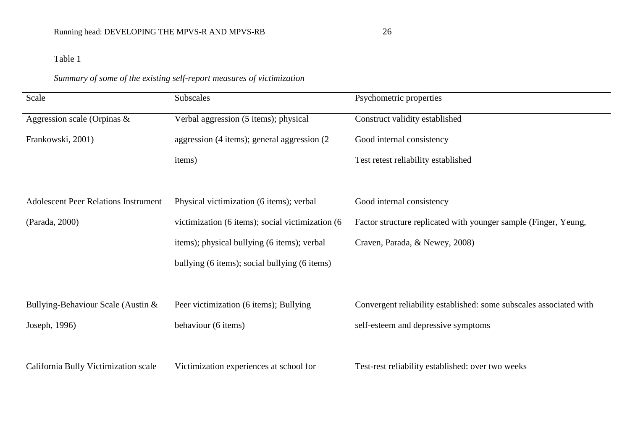# *Summary of some of the existing self-report measures of victimization*

| Scale                                       | Subscales                                        | Psychometric properties                                            |
|---------------------------------------------|--------------------------------------------------|--------------------------------------------------------------------|
| Aggression scale (Orpinas $\&$              | Verbal aggression (5 items); physical            | Construct validity established                                     |
| Frankowski, 2001)                           | aggression (4 items); general aggression (2      | Good internal consistency                                          |
|                                             | items)                                           | Test retest reliability established                                |
|                                             |                                                  |                                                                    |
| <b>Adolescent Peer Relations Instrument</b> | Physical victimization (6 items); verbal         | Good internal consistency                                          |
| (Parada, 2000)                              | victimization (6 items); social victimization (6 | Factor structure replicated with younger sample (Finger, Yeung,    |
|                                             | items); physical bullying (6 items); verbal      | Craven, Parada, & Newey, 2008)                                     |
|                                             | bullying (6 items); social bullying (6 items)    |                                                                    |
|                                             |                                                  |                                                                    |
| Bullying-Behaviour Scale (Austin &          | Peer victimization (6 items); Bullying           | Convergent reliability established: some subscales associated with |
| Joseph, 1996)                               | behaviour (6 items)                              | self-esteem and depressive symptoms                                |
|                                             |                                                  |                                                                    |
| California Bully Victimization scale        | Victimization experiences at school for          | Test-rest reliability established: over two weeks                  |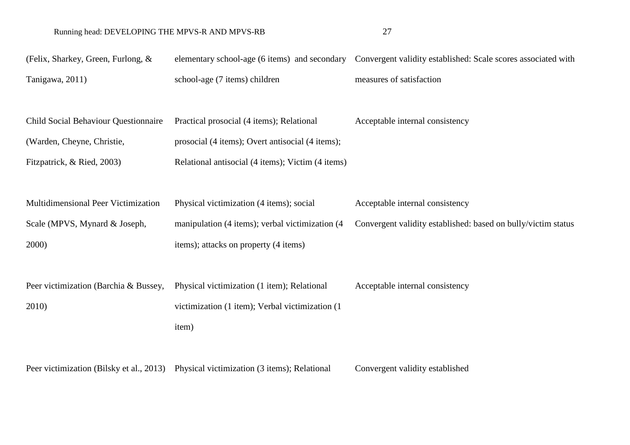# Running head: DEVELOPING THE MPVS-R AND MPVS-RB 27

| (Felix, Sharkey, Green, Furlong, &          | elementary school-age (6 items) and secondary                                         | Convergent validity established: Scale scores associated with |
|---------------------------------------------|---------------------------------------------------------------------------------------|---------------------------------------------------------------|
| Tanigawa, 2011)                             | school-age (7 items) children                                                         | measures of satisfaction                                      |
|                                             |                                                                                       |                                                               |
| <b>Child Social Behaviour Questionnaire</b> | Practical prosocial (4 items); Relational                                             | Acceptable internal consistency                               |
| (Warden, Cheyne, Christie,                  | prosocial (4 items); Overt antisocial (4 items);                                      |                                                               |
| Fitzpatrick, & Ried, 2003)                  | Relational antisocial (4 items); Victim (4 items)                                     |                                                               |
|                                             |                                                                                       |                                                               |
| Multidimensional Peer Victimization         | Physical victimization (4 items); social                                              | Acceptable internal consistency                               |
| Scale (MPVS, Mynard & Joseph,               | manipulation (4 items); verbal victimization (4                                       | Convergent validity established: based on bully/victim status |
| 2000)                                       | items); attacks on property (4 items)                                                 |                                                               |
|                                             |                                                                                       |                                                               |
| Peer victimization (Barchia & Bussey,       | Physical victimization (1 item); Relational                                           | Acceptable internal consistency                               |
| 2010)                                       | victimization (1 item); Verbal victimization (1                                       |                                                               |
|                                             | item)                                                                                 |                                                               |
|                                             |                                                                                       |                                                               |
|                                             | Peer victimization (Bilsky et al., 2013) Physical victimization (3 items); Relational | Convergent validity established                               |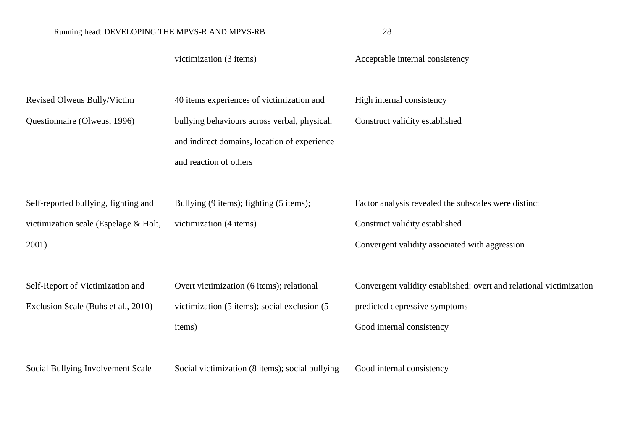victimization (3 items)  $\qquad \qquad$  Acceptable internal consistency Revised Olweus Bully/Victim Questionnaire (Olweus, 1996) 40 items experiences of victimization and bullying behaviours across verbal, physical, and indirect domains, location of experience and reaction of others High internal consistency Construct validity established Self-reported bullying, fighting and victimization scale (Espelage & Holt, 2001) Bullying (9 items); fighting (5 items); victimization (4 items) Factor analysis revealed the subscales were distinct Construct validity established Convergent validity associated with aggression Self-Report of Victimization and Exclusion Scale (Buhs et al., 2010) Overt victimization (6 items); relational victimization (5 items); social exclusion (5 items) Convergent validity established: overt and relational victimization predicted depressive symptoms Good internal consistency Social Bullying Involvement Scale Social victimization (8 items); social bullying Good internal consistency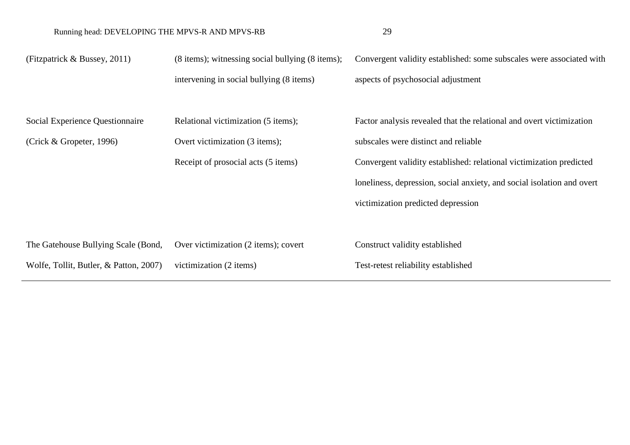(Fitzpatrick & Bussey, 2011) (8 items); witnessing social bullying (8 items); intervening in social bullying (8 items) Convergent validity established: some subscales were associated with aspects of psychosocial adjustment Social Experience Questionnaire (Crick & Gropeter, 1996) Relational victimization (5 items); Overt victimization (3 items); Receipt of prosocial acts (5 items) Factor analysis revealed that the relational and overt victimization subscales were distinct and reliable Convergent validity established: relational victimization predicted loneliness, depression, social anxiety, and social isolation and overt victimization predicted depression The Gatehouse Bullying Scale (Bond, Wolfe, Tollit, Butler, & Patton, 2007) Over victimization (2 items); covert victimization (2 items) Construct validity established Test-retest reliability established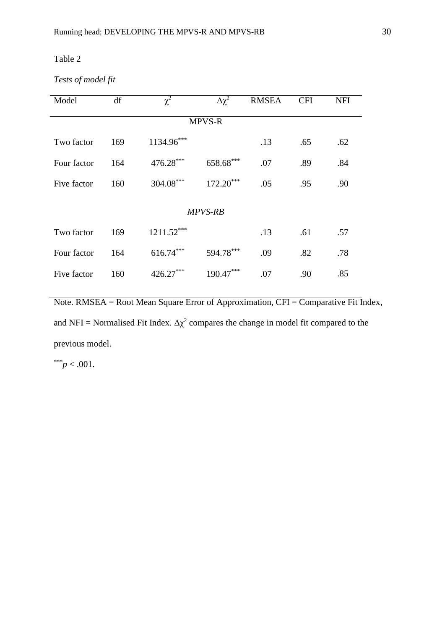## *Tests of model fit*

| Model          | df  | $\chi^2$     | $\Delta \chi^2$ |     | <b>CFI</b> | <b>NFI</b> |  |  |  |
|----------------|-----|--------------|-----------------|-----|------------|------------|--|--|--|
| <b>MPVS-R</b>  |     |              |                 |     |            |            |  |  |  |
| Two factor     | 169 | 1134.96***   |                 | .13 | .65        | .62        |  |  |  |
| Four factor    | 164 | 476.28***    | 658.68***       | .07 | .89        | .84        |  |  |  |
| Five factor    | 160 | 304.08***    | $172.20***$     | .05 | .95        | .90        |  |  |  |
| <b>MPVS-RB</b> |     |              |                 |     |            |            |  |  |  |
| Two factor     | 169 | $1211.52***$ |                 | .13 | .61        | .57        |  |  |  |
| Four factor    | 164 | $616.74***$  | 594.78***       | .09 | .82        | .78        |  |  |  |
| Five factor    | 160 | $426.27***$  | $190.47***$     | .07 | .90        | .85        |  |  |  |

Note. RMSEA = Root Mean Square Error of Approximation, CFI = Comparative Fit Index, and NFI = Normalised Fit Index.  $\Delta \chi^2$  compares the change in model fit compared to the previous model.

 $*^{**}p < .001$ .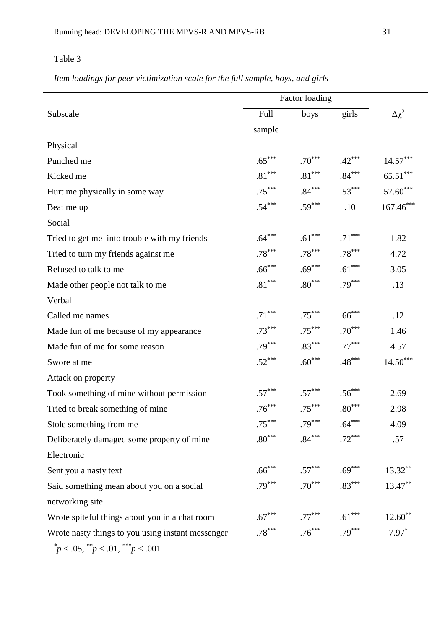*Item loadings for peer victimization scale for the full sample, boys, and girls*

|                                                   |                      | Factor loading       |                      |                        |
|---------------------------------------------------|----------------------|----------------------|----------------------|------------------------|
| Subscale                                          | Full                 | boys                 | girls                | $\Delta\chi^2$         |
|                                                   | sample               |                      |                      |                        |
| Physical                                          |                      |                      |                      |                        |
| Punched me                                        | $.65***$             | $.70***$             | $.42***$             | $14.57***$             |
| Kicked me                                         | $.81^{\ast\ast\ast}$ | $.81^{\ast\ast\ast}$ | $.84***$             | $65.51^{\ast\ast\ast}$ |
| Hurt me physically in some way                    | $.75***$             | $.84***$             | $.53***$             | $57.60***$             |
| Beat me up                                        | $.54***$             | $.59***$             | .10                  | $167.46***$            |
| Social                                            |                      |                      |                      |                        |
| Tried to get me into trouble with my friends      | $.64***$             | $.61***$             | $.71***$             | 1.82                   |
| Tried to turn my friends against me               | $.78***$             | $.78***$             | $.78***$             | 4.72                   |
| Refused to talk to me                             | $.66***$             | $.69***$             | $.61***$             | 3.05                   |
| Made other people not talk to me                  | $.81^{\ast\ast\ast}$ | $.80^{\ast\ast\ast}$ | $.79***$             | .13                    |
| Verbal                                            |                      |                      |                      |                        |
| Called me names                                   | $.71***$             | $.75***$             | $.66***$             | .12                    |
| Made fun of me because of my appearance           | $.73***$             | $.75***$             | $.70***$             | 1.46                   |
| Made fun of me for some reason                    | $.79***$             | $.83***$             | $.77***$             | 4.57                   |
| Swore at me                                       | $.52***$             | $.60***$             | $.48***$             | $14.50***$             |
| Attack on property                                |                      |                      |                      |                        |
| Took something of mine without permission         | $.57***$             | $.57***$             | $.56***$             | 2.69                   |
| Tried to break something of mine                  | $.76***$             | $.75***$             | $.80^{\ast\ast\ast}$ | 2.98                   |
| Stole something from me                           | $.75***$             | $.79***$             | $.64***$             | 4.09                   |
| Deliberately damaged some property of mine        | $.80***$             | $.84***$             | $.72***$             | .57                    |
| Electronic                                        |                      |                      |                      |                        |
| Sent you a nasty text                             | $.66***$             | $.57***$             | $.69***$             | $13.32***$             |
| Said something mean about you on a social         | $.79***$             | $.70***$             | $.83***$             | 13.47**                |
| networking site                                   |                      |                      |                      |                        |
| Wrote spiteful things about you in a chat room    | $.67***$             | $.77***$             | $.61***$             | $12.60**$              |
| Wrote nasty things to you using instant messenger | $.78***$             | $.76***$             | $.79***$             | $7.97*$                |

*\* p* < .05, *\*\* p* < .01, *\*\*\*p* < .001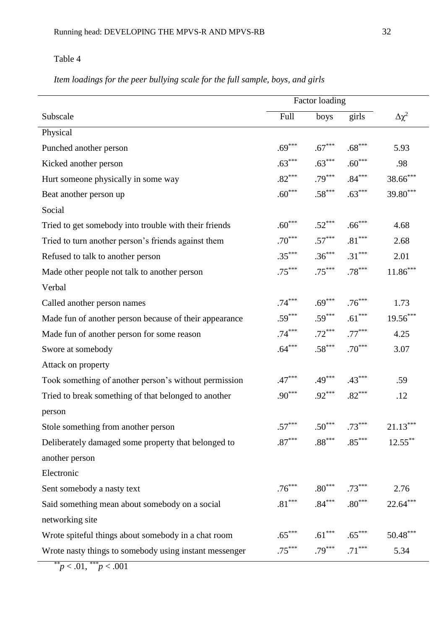*Item loadings for the peer bullying scale for the full sample, boys, and girls*

|                                                        | Factor loading |                            |                      |                 |  |  |
|--------------------------------------------------------|----------------|----------------------------|----------------------|-----------------|--|--|
| Subscale                                               | Full           | boys                       | girls                | $\Delta \chi^2$ |  |  |
| Physical                                               |                |                            |                      |                 |  |  |
| Punched another person                                 | $.69***$       | $.67***$                   | $.68***$             | 5.93            |  |  |
| Kicked another person                                  | $.63***$       | $.63***$                   | $.60***$             | .98             |  |  |
| Hurt someone physically in some way                    | $.82***$       | $.79***$                   | $.84***$             | $38.66***$      |  |  |
| Beat another person up                                 | $.60***$       | $.58***$                   | $.63***$             | 39.80***        |  |  |
| Social                                                 |                |                            |                      |                 |  |  |
| Tried to get somebody into trouble with their friends  | $.60***$       | $.52***$                   | $.66***$             | 4.68            |  |  |
| Tried to turn another person's friends against them    | $.70***$       | $.57***$                   | $.81^{\ast\ast\ast}$ | 2.68            |  |  |
| Refused to talk to another person                      | $.35***$       | $.36***$                   | $.31***$             | 2.01            |  |  |
| Made other people not talk to another person           | $.75***$       | $.75***$                   | $.78***$             | $11.86***$      |  |  |
| Verbal                                                 |                |                            |                      |                 |  |  |
| Called another person names                            | $.74***$       | $.69***$                   | $.76***$             | 1.73            |  |  |
| Made fun of another person because of their appearance | $.59***$       | $.59***$                   | $.61***$             | $19.56***$      |  |  |
| Made fun of another person for some reason             | $.74***$       | $.72***$                   | $.77***$             | 4.25            |  |  |
| Swore at somebody                                      | $.64***$       | $.58***$                   | $.70***$             | 3.07            |  |  |
| Attack on property                                     |                |                            |                      |                 |  |  |
| Took something of another person's without permission  | $.47***$       | $.49***$                   | $.43***$             | .59             |  |  |
| Tried to break something of that belonged to another   | $.90***$       | $.92***$                   | $.82***$             | .12             |  |  |
| person                                                 |                |                            |                      |                 |  |  |
| Stole something from another person                    | $.57***$       | $.50***$                   | $.73***$             | $21.13***$      |  |  |
| Deliberately damaged some property that belonged to    |                | $.87***$ $.88***$ $.85***$ |                      | $12.55***$      |  |  |
| another person                                         |                |                            |                      |                 |  |  |
| Electronic                                             |                |                            |                      |                 |  |  |
| Sent somebody a nasty text                             |                | $.76***$ $.80***$ $.73***$ |                      | 2.76            |  |  |
| Said something mean about somebody on a social         |                | $.81***$ $.84***$ $.80***$ |                      | $22.64***$      |  |  |
| networking site                                        |                |                            |                      |                 |  |  |
| Wrote spiteful things about somebody in a chat room    | $.65***$       | $.61***$                   | $.65***$             | $50.48***$      |  |  |
| Wrote nasty things to somebody using instant messenger | $.75***$       | $.79***$                   | $.71***$             | 5.34            |  |  |

*\*\*p* < .01, *\*\*\*p* < .001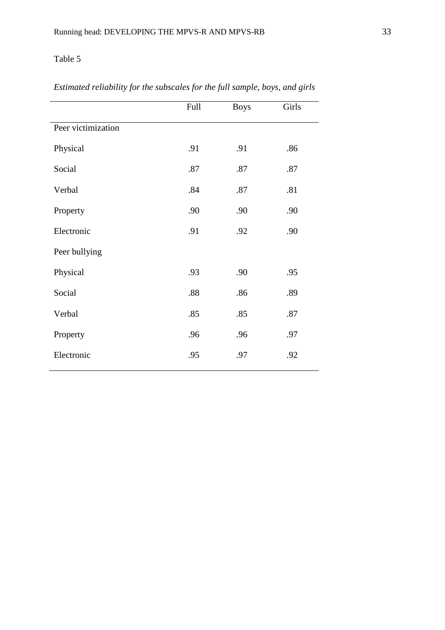|                    | Full | <b>Boys</b> | Girls |
|--------------------|------|-------------|-------|
| Peer victimization |      |             |       |
| Physical           | .91  | .91         | .86   |
| Social             | .87  | .87         | .87   |
| Verbal             | .84  | .87         | .81   |
| Property           | .90  | .90         | .90   |
| Electronic         | .91  | .92         | .90   |
| Peer bullying      |      |             |       |
| Physical           | .93  | .90         | .95   |
| Social             | .88  | .86         | .89   |
| Verbal             | .85  | .85         | .87   |
| Property           | .96  | .96         | .97   |
| Electronic         | .95  | .97         | .92   |

# *Estimated reliability for the subscales for the full sample, boys, and girls*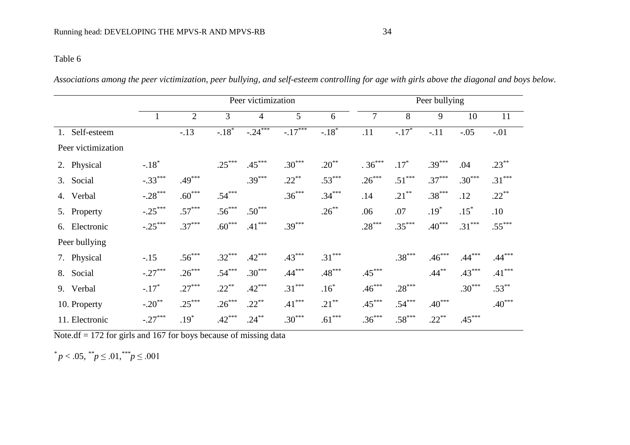*Associations among the peer victimization, peer bullying, and self-esteem controlling for age with girls above the diagonal and boys below.*

|                    | Peer victimization |                |          |                |          | Peer bullying |          |          |          |          |          |
|--------------------|--------------------|----------------|----------|----------------|----------|---------------|----------|----------|----------|----------|----------|
|                    | $\perp$            | $\overline{2}$ | 3        | $\overline{4}$ | 5        | 6             | 7        | 8        | 9        | 10       | 11       |
| Self-esteem<br>1.  |                    | $-.13$         | $-.18*$  | $-0.24$        | $-17***$ | $-.18*$       | .11      | $-.17*$  | $-.11$   | $-.05$   | $-.01$   |
| Peer victimization |                    |                |          |                |          |               |          |          |          |          |          |
| 2. Physical        | $-.18*$            |                | $.25***$ | $.45***$       | $.30***$ | $.20***$      | $.36***$ | $.17*$   | $.39***$ | .04      | $.23***$ |
| Social<br>3.       | $-.33***$          | $.49***$       |          | $.39***$       | $.22***$ | $.53***$      | $.26***$ | $.51***$ | $.37***$ | $.30***$ | $.31***$ |
| 4. Verbal          | $-.28***$          | $.60***$       | $.54***$ |                | $.36***$ | $.34***$      | .14      | $.21***$ | $.38***$ | .12      | $.22***$ |
| 5. Property        | $-.25***$          | $.57***$       | $.56***$ | $.50***$       |          | $.26***$      | .06      | .07      | $.19*$   | $.15*$   | .10      |
| 6. Electronic      | $-.25***$          | $.37***$       | $.60***$ | $.41***$       | $.39***$ |               | $.28***$ | $.35***$ | $.40***$ | $.31***$ | $.55***$ |
| Peer bullying      |                    |                |          |                |          |               |          |          |          |          |          |
| 7. Physical        | $-.15$             | $.56***$       | $.32***$ | $.42***$       | $.43***$ | $.31***$      |          | $.38***$ | $.46***$ | $.44***$ | $.44***$ |
| 8. Social          | $-.27***$          | $.26***$       | $.54***$ | $.30***$       | $.44***$ | $.48***$      | $.45***$ |          | $.44***$ | $.43***$ | $.41***$ |
| 9. Verbal          | $-.17*$            | $.27***$       | $.22***$ | $.42***$       | $.31***$ | $.16*$        | $.46***$ | $.28***$ |          | $.30***$ | $.53***$ |
| 10. Property       | $-.20$ **          | $.25***$       | $.26***$ | $.22***$       | $.41***$ | $.21***$      | $.45***$ | $.54***$ | $.40***$ |          | $.40***$ |
| 11. Electronic     | $-.27***$          | $.19*$         | $.42***$ | $.24***$       | $.30***$ | $.61***$      | $.36***$ | $.58***$ | $.22***$ | $.45***$ |          |

Note.df  $= 172$  for girls and 167 for boys because of missing data

 $p < .05,$   $\sqrt[*]{p} \le .01,$   $\sqrt[**]{p} \le .001$